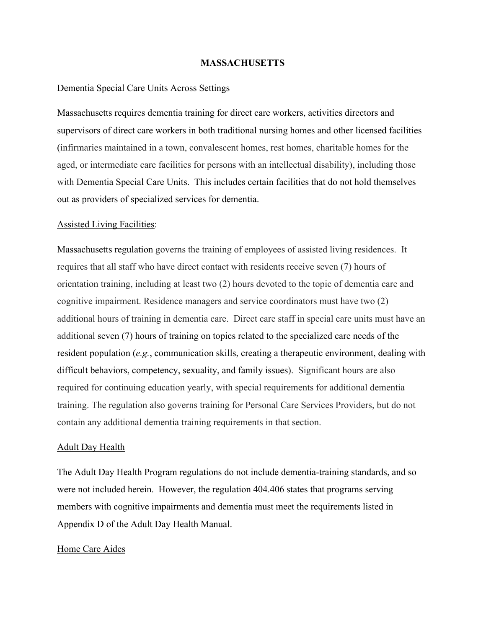### MASSACHUSETTS

### Dementia Special Care Units Across Settings

Massachusetts requires dementia training for direct care workers, activities directors and supervisors of direct care workers in both traditional nursing homes and other licensed facilities (infirmaries maintained in a town, convalescent homes, rest homes, charitable homes for the aged, or intermediate care facilities for persons with an intellectual disability), including those with Dementia Special Care Units. This includes certain facilities that do not hold themselves out as providers of specialized services for dementia.

## Assisted Living Facilities:

Massachusetts regulation governs the training of employees of assisted living residences. It requires that all staff who have direct contact with residents receive seven (7) hours of orientation training, including at least two (2) hours devoted to the topic of dementia care and cognitive impairment. Residence managers and service coordinators must have two (2) additional hours of training in dementia care. Direct care staff in special care units must have an additional seven (7) hours of training on topics related to the specialized care needs of the resident population (e.g., communication skills, creating a therapeutic environment, dealing with difficult behaviors, competency, sexuality, and family issues). Significant hours are also required for continuing education yearly, with special requirements for additional dementia training. The regulation also governs training for Personal Care Services Providers, but do not contain any additional dementia training requirements in that section.

#### Adult Day Health

The Adult Day Health Program regulations do not include dementia-training standards, and so were not included herein. However, the regulation 404.406 states that programs serving members with cognitive impairments and dementia must meet the requirements listed in Appendix D of the Adult Day Health Manual.

#### Home Care Aides